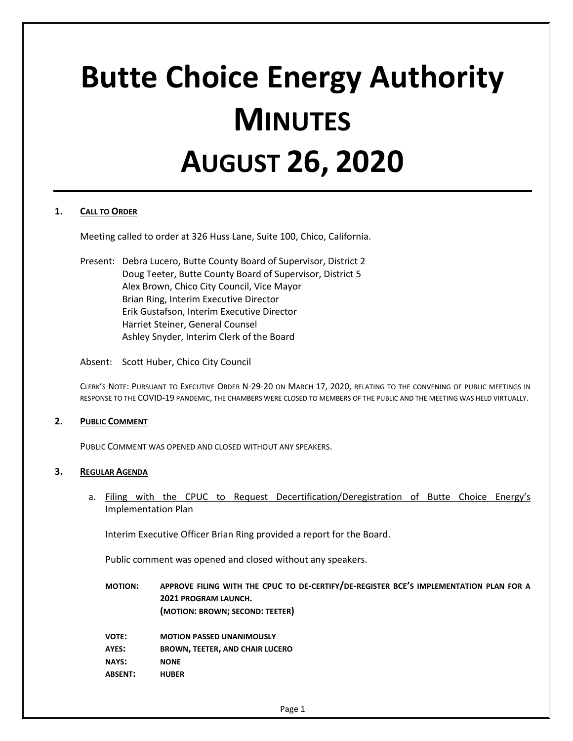# **Butte Choice Energy Authority MINUTES AUGUST 26, 2020**

## **1. CALL TO ORDER**

Meeting called to order at 326 Huss Lane, Suite 100, Chico, California.

Present: Debra Lucero, Butte County Board of Supervisor, District 2 Doug Teeter, Butte County Board of Supervisor, District 5 Alex Brown, Chico City Council, Vice Mayor Brian Ring, Interim Executive Director Erik Gustafson, Interim Executive Director Harriet Steiner, General Counsel Ashley Snyder, Interim Clerk of the Board

Absent: Scott Huber, Chico City Council

CLERK'S NOTE: PURSUANT TO EXECUTIVE ORDER N-29-20 ON MARCH 17, 2020, RELATING TO THE CONVENING OF PUBLIC MEETINGS IN RESPONSE TO THE COVID-19 PANDEMIC, THE CHAMBERS WERE CLOSED TO MEMBERS OF THE PUBLIC AND THE MEETING WAS HELD VIRTUALLY.

## **2. PUBLIC COMMENT**

PUBLIC COMMENT WAS OPENED AND CLOSED WITHOUT ANY SPEAKERS.

#### **3. REGULAR AGENDA**

a. Filing with the CPUC to Request Decertification/Deregistration of Butte Choice Energy's Implementation Plan

Interim Executive Officer Brian Ring provided a report for the Board.

Public comment was opened and closed without any speakers.

**MOTION: APPROVE FILING WITH THE CPUC TO DE-CERTIFY/DE-REGISTER BCE'S IMPLEMENTATION PLAN FOR A 2021 PROGRAM LAUNCH. (MOTION: BROWN; SECOND: TEETER)**

| <b>VOTE:</b>   | <b>MOTION PASSED UNANIMOUSLY</b>       |
|----------------|----------------------------------------|
| AYES:          | <b>BROWN, TEETER, AND CHAIR LUCERO</b> |
| <b>NAYS:</b>   | <b>NONE</b>                            |
| <b>ABSENT:</b> | <b>HUBER</b>                           |